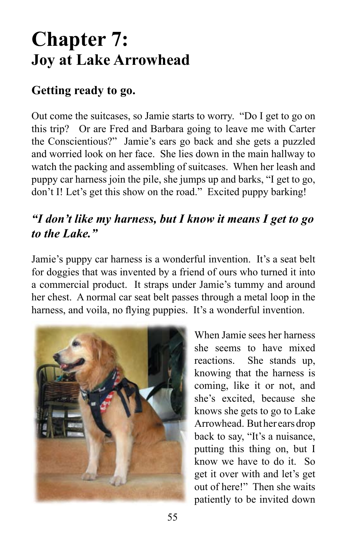# **Chapter 7: Joy at Lake Arrowhead**

# **Getting ready to go.**

Out come the suitcases, so Jamie starts to worry. "Do I get to go on this trip? Or are Fred and Barbara going to leave me with Carter the Conscientious?" Jamie's ears go back and she gets a puzzled and worried look on her face. She lies down in the main hallway to watch the packing and assembling of suitcases. When her leash and puppy car harness join the pile, she jumps up and barks, "I get to go, don't I! Let's get this show on the road." Excited puppy barking!

# *"I don't like my harness, but I know it means I get to go to the Lake."*

Jamie's puppy car harness is a wonderful invention. It's a seat belt for doggies that was invented by a friend of ours who turned it into a commercial product. It straps under Jamie's tummy and around her chest. A normal car seat belt passes through a metal loop in the harness, and voila, no flying puppies. It's a wonderful invention.



When Jamie sees her harness she seems to have mixed reactions. She stands up, knowing that the harness is coming, like it or not, and she's excited, because she knows she gets to go to Lake Arrowhead. But her ears drop back to say, "It's a nuisance, putting this thing on, but I know we have to do it. So get it over with and let's get out of here!" Then she waits patiently to be invited down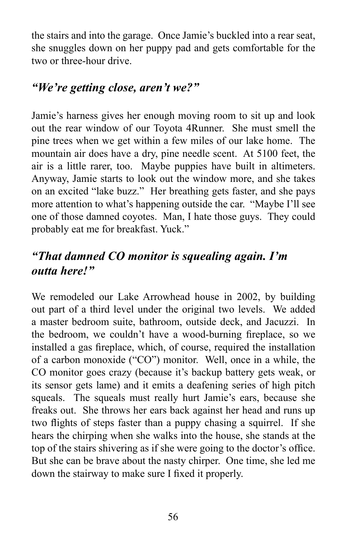the stairs and into the garage. Once Jamie's buckled into a rear seat, she snuggles down on her puppy pad and gets comfortable for the two or three-hour drive.

#### *"We're getting close, aren't we?"*

Jamie's harness gives her enough moving room to sit up and look out the rear window of our Toyota 4Runner. She must smell the pine trees when we get within a few miles of our lake home. The mountain air does have a dry, pine needle scent. At 5100 feet, the air is a little rarer, too. Maybe puppies have built in altimeters. Anyway, Jamie starts to look out the window more, and she takes on an excited "lake buzz." Her breathing gets faster, and she pays more attention to what's happening outside the car. "Maybe I'll see one of those damned coyotes. Man, I hate those guys. They could probably eat me for breakfast. Yuck."

# *"That damned CO monitor is squealing again. I'm outta here!"*

We remodeled our Lake Arrowhead house in 2002, by building out part of a third level under the original two levels. We added a master bedroom suite, bathroom, outside deck, and Jacuzzi. In the bedroom, we couldn't have a wood-burning fireplace, so we installed a gas fireplace, which, of course, required the installation of a carbon monoxide ("CO") monitor. Well, once in a while, the CO monitor goes crazy (because it's backup battery gets weak, or its sensor gets lame) and it emits a deafening series of high pitch squeals. The squeals must really hurt Jamie's ears, because she freaks out. She throws her ears back against her head and runs up two flights of steps faster than a puppy chasing a squirrel. If she hears the chirping when she walks into the house, she stands at the top of the stairs shivering as if she were going to the doctor's office. But she can be brave about the nasty chirper. One time, she led me down the stairway to make sure I fixed it properly.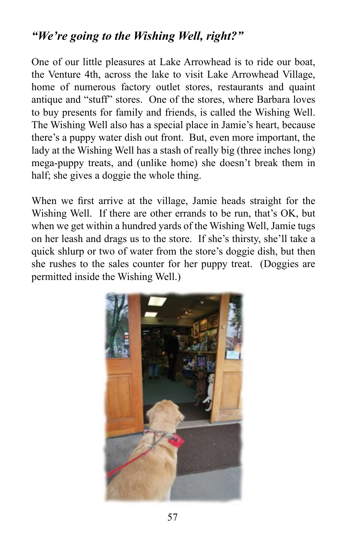## *"We're going to the Wishing Well, right?"*

One of our little pleasures at Lake Arrowhead is to ride our boat, the Venture 4th, across the lake to visit Lake Arrowhead Village, home of numerous factory outlet stores, restaurants and quaint antique and "stuff" stores. One of the stores, where Barbara loves to buy presents for family and friends, is called the Wishing Well. The Wishing Well also has a special place in Jamie's heart, because there's a puppy water dish out front. But, even more important, the lady at the Wishing Well has a stash of really big (three inches long) mega-puppy treats, and (unlike home) she doesn't break them in half; she gives a doggie the whole thing.

When we first arrive at the village, Jamie heads straight for the Wishing Well. If there are other errands to be run, that's OK, but when we get within a hundred yards of the Wishing Well, Jamie tugs on her leash and drags us to the store. If she's thirsty, she'll take a quick shlurp or two of water from the store's doggie dish, but then she rushes to the sales counter for her puppy treat. (Doggies are permitted inside the Wishing Well.)

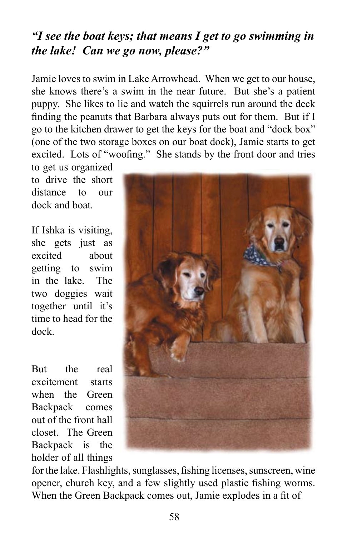## *"I see the boat keys; that means I get to go swimming in the lake! Can we go now, please?"*

Jamie loves to swim in Lake Arrowhead. When we get to our house, she knows there's a swim in the near future. But she's a patient puppy. She likes to lie and watch the squirrels run around the deck finding the peanuts that Barbara always puts out for them. But if I go to the kitchen drawer to get the keys for the boat and "dock box" (one of the two storage boxes on our boat dock), Jamie starts to get excited. Lots of "woofing." She stands by the front door and tries

to get us organized to drive the short distance to our dock and boat.

If Ishka is visiting, she gets just as excited about getting to swim in the lake. The two doggies wait together until it's time to head for the dock.

But the real excitement starts when the Green Backpack comes out of the front hall closet. The Green Backpack is the holder of all things



for the lake. Flashlights, sunglasses, fishing licenses, sunscreen, wine opener, church key, and a few slightly used plastic fishing worms. When the Green Backpack comes out, Jamie explodes in a fit of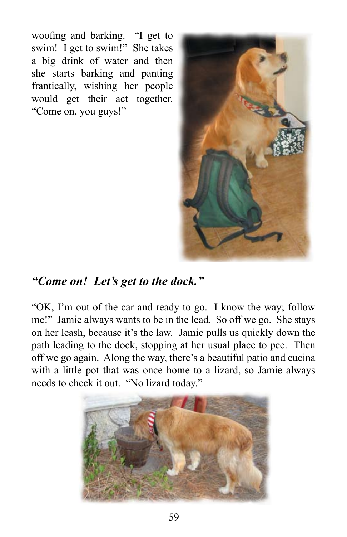woofing and barking. "I get to swim! I get to swim!" She takes a big drink of water and then she starts barking and panting frantically, wishing her people would get their act together. "Come on, you guys!"



## *"Come on! Let's get to the dock."*

"OK, I'm out of the car and ready to go. I know the way; follow me!" Jamie always wants to be in the lead. So off we go. She stays on her leash, because it's the law. Jamie pulls us quickly down the path leading to the dock, stopping at her usual place to pee. Then off we go again. Along the way, there's a beautiful patio and cucina with a little pot that was once home to a lizard, so Jamie always needs to check it out. "No lizard today."

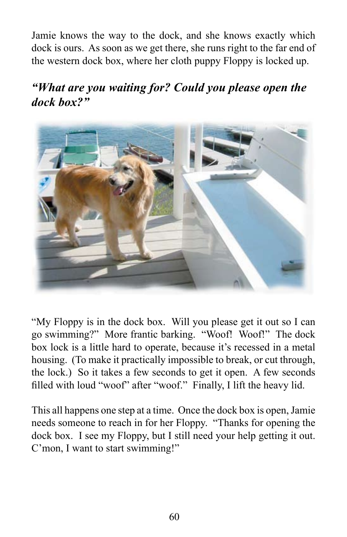Jamie knows the way to the dock, and she knows exactly which dock is ours. As soon as we get there, she runs right to the far end of the western dock box, where her cloth puppy Floppy is locked up.

## *"What are you waiting for? Could you please open the dock box?"*



"My Floppy is in the dock box. Will you please get it out so I can go swimming?" More frantic barking. "Woof! Woof!" The dock box lock is a little hard to operate, because it's recessed in a metal housing. (To make it practically impossible to break, or cut through, the lock.) So it takes a few seconds to get it open. A few seconds filled with loud "woof" after "woof." Finally, I lift the heavy lid.

This all happens one step at a time. Once the dock box is open, Jamie needs someone to reach in for her Floppy. "Thanks for opening the dock box. I see my Floppy, but I still need your help getting it out. C'mon, I want to start swimming!"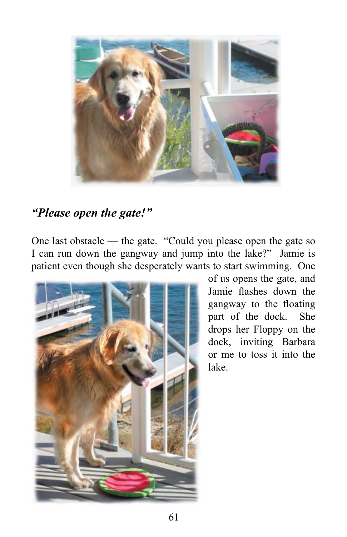

## *"Please open the gate!"*

One last obstacle — the gate. "Could you please open the gate so I can run down the gangway and jump into the lake?" Jamie is patient even though she desperately wants to start swimming. One



of us opens the gate, and Jamie flashes down the gangway to the floating part of the dock. She drops her Floppy on the dock, inviting Barbara or me to toss it into the lake.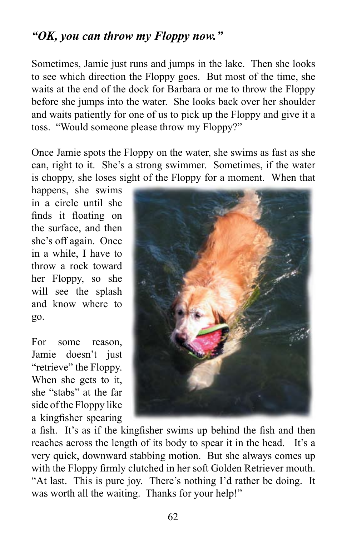## *"OK, you can throw my Floppy now."*

Sometimes, Jamie just runs and jumps in the lake. Then she looks to see which direction the Floppy goes. But most of the time, she waits at the end of the dock for Barbara or me to throw the Floppy before she jumps into the water. She looks back over her shoulder and waits patiently for one of us to pick up the Floppy and give it a toss. "Would someone please throw my Floppy?"

Once Jamie spots the Floppy on the water, she swims as fast as she can, right to it. She's a strong swimmer. Sometimes, if the water is choppy, she loses sight of the Floppy for a moment. When that

happens, she swims in a circle until she finds it floating on the surface, and then she's off again. Once in a while, I have to throw a rock toward her Floppy, so she will see the splash and know where to go.

For some reason, Jamie doesn't just "retrieve" the Floppy. When she gets to it, she "stabs" at the far side of the Floppy like a kingfisher spearing



a fish. It's as if the kingfisher swims up behind the fish and then reaches across the length of its body to spear it in the head. It's a very quick, downward stabbing motion. But she always comes up with the Floppy firmly clutched in her soft Golden Retriever mouth. "At last. This is pure joy. There's nothing I'd rather be doing. It was worth all the waiting. Thanks for your help!"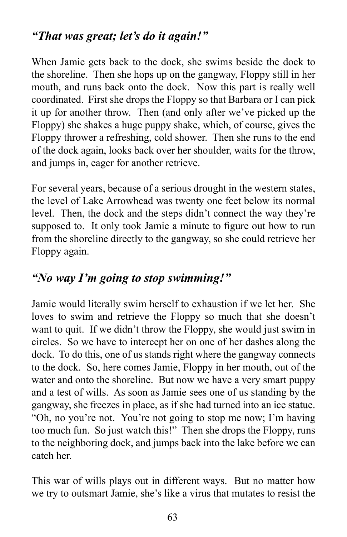## *"That was great; let's do it again!"*

When Jamie gets back to the dock, she swims beside the dock to the shoreline. Then she hops up on the gangway, Floppy still in her mouth, and runs back onto the dock. Now this part is really well coordinated. First she drops the Floppy so that Barbara or I can pick it up for another throw. Then (and only after we've picked up the Floppy) she shakes a huge puppy shake, which, of course, gives the Floppy thrower a refreshing, cold shower. Then she runs to the end of the dock again, looks back over her shoulder, waits for the throw, and jumps in, eager for another retrieve.

For several years, because of a serious drought in the western states, the level of Lake Arrowhead was twenty one feet below its normal level. Then, the dock and the steps didn't connect the way they're supposed to. It only took Jamie a minute to figure out how to run from the shoreline directly to the gangway, so she could retrieve her Floppy again.

#### *"No way I'm going to stop swimming!"*

Jamie would literally swim herself to exhaustion if we let her. She loves to swim and retrieve the Floppy so much that she doesn't want to quit. If we didn't throw the Floppy, she would just swim in circles. So we have to intercept her on one of her dashes along the dock. To do this, one of us stands right where the gangway connects to the dock. So, here comes Jamie, Floppy in her mouth, out of the water and onto the shoreline. But now we have a very smart puppy and a test of wills. As soon as Jamie sees one of us standing by the gangway, she freezes in place, as if she had turned into an ice statue. "Oh, no you're not. You're not going to stop me now; I'm having too much fun. So just watch this!" Then she drops the Floppy, runs to the neighboring dock, and jumps back into the lake before we can catch her.

This war of wills plays out in different ways. But no matter how we try to outsmart Jamie, she's like a virus that mutates to resist the